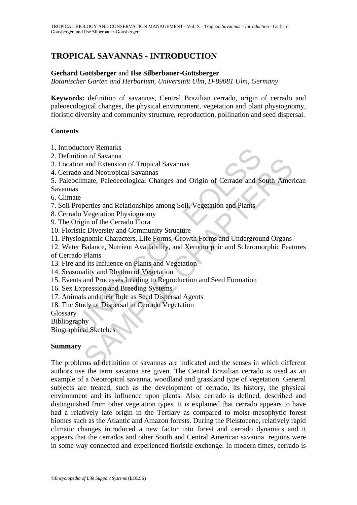# **TROPICAL SAVANNAS - INTRODUCTION**

## **Gerhard Gottsberger** and **Ilse Silberbauer-Gottsberger**

*Botanischer Garten and Herbarium*, *Universität Ulm*, *D-89081 Ulm*, *Germany* 

**Keywords:** definition of savannas, Central Brazilian cerrado, origin of cerrado and paleoecological changes, the physical environment, vegetation and plant physiognomy, floristic diversity and community structure, reproduction, pollination and seed dispersal.

### **Contents**

1. Introductory Remarks

2. Definition of Savanna

3. Location and Extension of Tropical Savannas

- 4. Cerrado and Neotropical Savannas
- 5. Paleoclimate, Paleoecological Changes and Origin of Cerrado and South American

Savannas

6. Climate

7. Soil Properties and Relationships among Soil, Vegetation and Plants

- 8. Cerrado Vegetation Physiognomy
- 9. The Origin of the Cerrado Flora
- 10. Floristic Diversity and Community Structure
- 11. Physiognomic Characters, Life Forms, Growth Forms and Underground Organs
- ductory Kemarks<br>
into of Savanna<br>
ition and Extension of Tropical Savannas<br>
ido and Neotropical Savannas<br>
ado and Neotropical Savannas<br>
sclimate, Paleoecological Changes and Origin of Cerrado and S<br>
as<br>
as<br>
are the Propert or or savanna<br>and Extension of Tropical Savannas<br>and Neotropical Savannas<br>and Neotropical Savannas<br>mate, Paleoecological Changes and Origin of Cerrado and South Amer<br>vegetation Physiognomy<br>chapter characters, Life Forms, G 12. Water Balance, Nutrient Availability, and Xeromorphic and Scleromorphic Features

of Cerrado Plants

- 13. Fire and its Influence on Plants and Vegetation
- 14. Seasonality and Rhythm of Vegetation
- 15. Events and Processes Leading to Reproduction and Seed Formation
- 16. Sex Expression and Breeding Systems
- 17. Animals and their Role as Seed Dispersal Agents
- 18. The Study of Dispersal in Cerrado Vegetation

Glossary

Bibliography

Biographical Sketches

# **Summary**

The problems of definition of savannas are indicated and the senses in which different authors use the term savanna are given. The Central Brazilian cerrado is used as an example of a Neotropical savanna, woodland and grassland type of vegetation. General subjects are treated, such as the development of cerrado, its history, the physical environment and its influence upon plants. Also, cerrado is defined, described and distinguished from other vegetation types. It is explained that cerrado appears to have had a relatively late origin in the Tertiary as compared to moist mesophytic forest biomes such as the Atlantic and Amazon forests. During the Pleistocene, relatively rapid climatic changes introduced a new factor into forest and cerrado dynamics and it appears that the cerrados and other South and Central American savanna regions were in some way connected and experienced floristic exchange. In modern times, cerrado is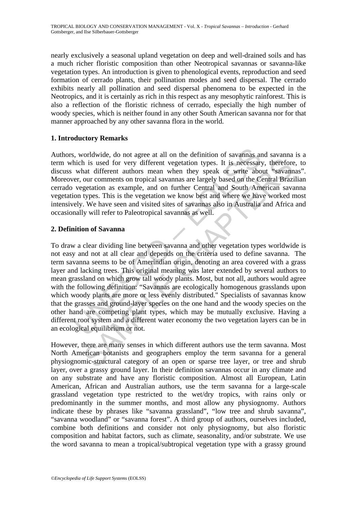nearly exclusively a seasonal upland vegetation on deep and well-drained soils and has a much richer floristic composition than other Neotropical savannas or savanna-like vegetation types. An introduction is given to phenological events, reproduction and seed formation of cerrado plants, their pollination modes and seed dispersal. The cerrado exhibits nearly all pollination and seed dispersal phenomena to be expected in the Neotropics, and it is certainly as rich in this respect as any mesophytic rainforest. This is also a reflection of the floristic richness of cerrado, especially the high number of woody species, which is neither found in any other South American savanna nor for that manner approached by any other savanna flora in the world.

# **1. Introductory Remarks**

Authors, worldwide, do not agree at all on the definition of savannas and savanna is a term which is used for very different vegetation types. It is necessary, therefore, to discuss what different authors mean when they speak or write about "savannas". Moreover, our comments on tropical savannas are largely based on the Central Brazilian cerrado vegetation as example, and on further Central and South American savanna vegetation types. This is the vegetation we know best and where we have worked most intensively. We have seen and visited sites of savannas also in Australia and Africa and occasionally will refer to Paleotropical savannas as well.

# **2. Definition of Savanna**

s, worldwide, do not agree at all on the definition of savannas an hich is used for very different vegetation types. It is necessary what different authors mean when they speak or write aboer, our comments on tropical sava is used for very different vegetation types. It is necessary, therefore at different authors mean when they speak or write about "savannour comments on tropical savannas are largely based on the Central Braz:<br>getation as e To draw a clear dividing line between savanna and other vegetation types worldwide is not easy and not at all clear and depends on the criteria used to define savanna. The term savanna seems to be of Amerindian origin, denoting an area covered with a grass layer and lacking trees. This original meaning was later extended by several authors to mean grassland on which grow tall woody plants. Most, but not all, authors would agree with the following definition: "Savannas are ecologically homogenous grasslands upon which woody plants are more or less evenly distributed." Specialists of savannas know that the grasses and ground-layer species on the one hand and the woody species on the other hand are competing plant types, which may be mutually exclusive. Having a different root system and a different water economy the two vegetation layers can be in an ecological equilibrium or not.

However, there are many senses in which different authors use the term savanna. Most North American botanists and geographers employ the term savanna for a general physiognomic-structural category of an open or sparse tree layer, or tree and shrub layer, over a grassy ground layer. In their definition savannas occur in any climate and on any substrate and have any floristic composition. Almost all European, Latin American, African and Australian authors, use the term savanna for a large-scale grassland vegetation type restricted to the wet/dry tropics, with rains only or predominantly in the summer months, and most allow any physiognomy. Authors indicate these by phrases like "savanna grassland", "low tree and shrub savanna", "savanna woodland" or "savanna forest". A third group of authors, ourselves included, combine both definitions and consider not only physiognomy, but also floristic composition and habitat factors, such as climate, seasonality, and/or substrate. We use the word savanna to mean a tropical/subtropical vegetation type with a grassy ground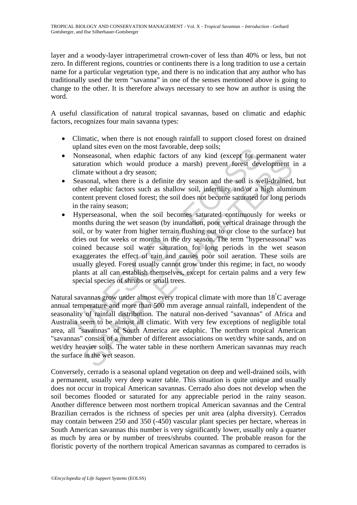layer and a woody-layer intraperimetral crown-cover of less than 40% or less, but not zero. In different regions, countries or continents there is a long tradition to use a certain name for a particular vegetation type, and there is no indication that any author who has traditionally used the term "savanna" in one of the senses mentioned above is going to change to the other. It is therefore always necessary to see how an author is using the word.

A useful classification of natural tropical savannas, based on climatic and edaphic factors, recognizes four main savanna types:

- Climatic, when there is not enough rainfall to support closed forest on drained upland sites even on the most favorable, deep soils;
- Nonseasonal, when edaphic factors of any kind (except for permanent water saturation which would produce a marsh) prevent forest development in a climate without a dry season;
- Seasonal, when there is a definite dry season and the soil is well-drained, but other edaphic factors such as shallow soil, infertility and/or a high aluminum content prevent closed forest; the soil does not become saturated for long periods in the rainy season;
- upland sites even on the most ravorable, deep sons;<br>Nonseasonal, when edaphic factors of any kind (except for pe<br>Saturation which would produce a marsh) prevent forest dev<br>climate without a dry season;<br>Seasonal, when there Exassion, when valuate rations of any since (see to permation which would produce a marsh) prevent forest development and without a dry season;<br>the mate without a dry season; sonal, when there is a definite dry season and • Hyperseasonal, when the soil becomes saturated continuously for weeks or months during the wet season (by inundation, poor vertical drainage through the soil, or by water from higher terrain flushing out to or close to the surface) but dries out for weeks or months in the dry season. The term "hyperseasonal" was coined because soil water saturation for long periods in the wet season exaggerates the effect of rain and causes poor soil aeration. These soils are usually gleyed. Forest usually cannot grow under this regime; in fact, no woody plants at all can establish themselves, except for certain palms and a very few special species of shrubs or small trees.

Natural savannas grow under almost every tropical climate with more than 18<sup>°</sup>C average annual temperature and more than 500 mm average annual rainfall, independent of the seasonality of rainfall distribution. The natural non-derived "savannas" of Africa and Australia seem to be almost all climatic. With very few exceptions of negligible total area, all "savannas" of South America are edaphic. The northern tropical American "savannas" consist of a number of different associations on wet/dry white sands, and on wet/dry heavier soils. The water table in these northern American savannas may reach the surface in the wet season.

Conversely, cerrado is a seasonal upland vegetation on deep and well-drained soils, with a permanent, usually very deep water table. This situation is quite unique and usually does not occur in tropical American savannas. Cerrado also does not develop when the soil becomes flooded or saturated for any appreciable period in the rainy season. Another difference between most northern tropical American savannas and the Central Brazilian cerrados is the richness of species per unit area (alpha diversity). Cerrados may contain between 250 and 350 (-450) vascular plant species per hectare, whereas in South American savannas this number is very significantly lower, usually only a quarter as much by area or by number of trees/shrubs counted. The probable reason for the floristic poverty of the northern tropical American savannas as compared to cerrados is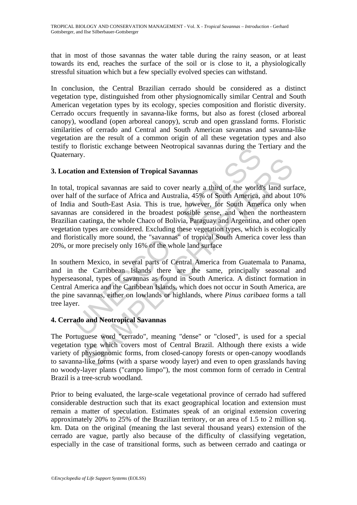that in most of those savannas the water table during the rainy season, or at least towards its end, reaches the surface of the soil or is close to it, a physiologically stressful situation which but a few specially evolved species can withstand.

In conclusion, the Central Brazilian cerrado should be considered as a distinct vegetation type, distinguished from other physiognomically similar Central and South American vegetation types by its ecology, species composition and floristic diversity. Cerrado occurs frequently in savanna-like forms, but also as forest (closed arboreal canopy), woodland (open arboreal canopy), scrub and open grassland forms. Floristic similarities of cerrado and Central and South American savannas and savanna-like vegetation are the result of a common origin of all these vegetation types and also testify to floristic exchange between Neotropical savannas during the Tertiary and the Quaternary.

# **3. Location and Extension of Tropical Savannas**

about the surface of A "someta" and Aventual Savannas<br>
tion and Extension of Tropical Savannas<br>
tion and Extension of Tropical Savannas<br>
tion and Extension of Tropical Savannas<br>
tion of the world<br>
of the world<br>
of the worl n and Extension of Tropical Savannas<br>poical savannas are said to cover nearly a third of the world's land surf<br>the surface of Africa and Australia, 45% of South America, and about<br>d South-East Asia. This is true, however, In total, tropical savannas are said to cover nearly a third of the world's land surface, over half of the surface of Africa and Australia, 45% of South America, and about 10% of India and South-East Asia. This is true, however, for South America only when savannas are considered in the broadest possible sense, and when the northeastern Brazilian caatinga, the whole Chaco of Bolivia, Paraguay and Argentina, and other open vegetation types are considered. Excluding these vegetation types, which is ecologically and floristically more sound, the "savannas" of tropical South America cover less than 20%, or more precisely only 16% of the whole land surface

In southern Mexico, in several parts of Central America from Guatemala to Panama, and in the Carribbean Islands there are the same, principally seasonal and hyperseasonal, types of savannas as found in South America. A distinct formation in Central America and the Caribbean Islands, which does not occur in South America, are the pine savannas, either on lowlands or highlands, where *Pinus caribaea* forms a tall tree layer.

### **4. Cerrado and Neotropical Savannas**

The Portuguese word "cerrado", meaning "dense" or "closed", is used for a special vegetation type which covers most of Central Brazil. Although there exists a wide variety of physiognomic forms, from closed-canopy forests or open-canopy woodlands to savanna-like forms (with a sparse woody layer) and even to open grasslands having no woody-layer plants ("campo limpo"), the most common form of cerrado in Central Brazil is a tree-scrub woodland.

Prior to being evaluated, the large-scale vegetational province of cerrado had suffered considerable destruction such that its exact geographical location and extension must remain a matter of speculation. Estimates speak of an original extension covering approximately 20% to 25% of the Brazilian territory, or an area of 1.5 to 2 million sq. km. Data on the original (meaning the last several thousand years) extension of the cerrado are vague, partly also because of the difficulty of classifying vegetation, especially in the case of transitional forms, such as between cerrado and caatinga or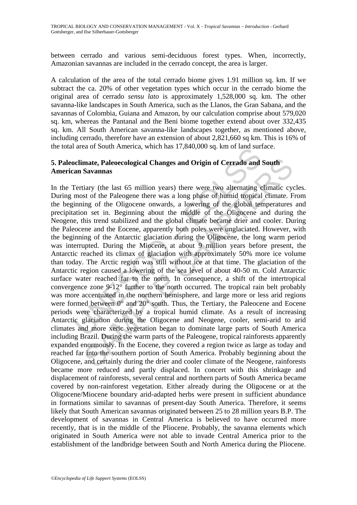between cerrado and various semi-deciduous forest types. When, incorrectly, Amazonian savannas are included in the cerrado concept, the area is larger.

A calculation of the area of the total cerrado biome gives 1.91 million sq. km. If we subtract the ca. 20% of other vegetation types which occur in the cerrado biome the original area of cerrado *sensu lato* is approximately 1,528,000 sq. km. The other savanna-like landscapes in South America, such as the Llanos, the Gran Sabana, and the savannas of Colombia, Guiana and Amazon, by our calculation comprise about 579,020 sq. km, whereas the Pantanal and the Beni biome together extend about over 332,435 sq. km. All South American savanna-like landscapes together, as mentioned above, including cerrado, therefore have an extension of about 2,821,660 sq km. This is 16% of the total area of South America, which has 17,840,000 sq. km of land surface.

# **5. Paleoclimate, Paleoecological Changes and Origin of Cerrado and South American Savannas**

atea of South America, winch has 17,640,000 sq. Kin of land sum<br>
oclimate, Paleoecological Changes and Origin of Cerrado and<br>
an Savannas<br>
Fertiary (the last 65 million years) there were two alternating e<br>
most of the Pal mate, Paleoecological Changes and Origin of Cerrado and South<br>Savannas<br>Savannas<br>Savannas<br>Hirly (the last 65 million years) there were two alternating elfimatic cy<br>st of the Paleogene there was a long phase of humid tropic In the Tertiary (the last 65 million years) there were two alternating climatic cycles. During most of the Paleogene there was a long phase of humid tropical climate. From the beginning of the Oligocene onwards, a lowering of the global temperatures and precipitation set in. Beginning about the middle of the Oligocene and during the Neogene, this trend stabilized and the global climate became drier and cooler. During the Paleocene and the Eocene, apparently both poles were unglaciated. However, with the beginning of the Antarctic glaciation during the Oligocene, the long warm period was interrupted. During the Miocene, at about 9 million years before present, the Antarctic reached its climax of glaciation with approximately 50% more ice volume than today. The Arctic region was still without ice at that time. The glaciation of the Antarctic region caused a lowering of the sea level of about 40-50 m. Cold Antarctic surface water reached far to the north. In consequence, a shift of the intertropical convergence zone 9-12° further to the north occurred. The tropical rain belt probably was more accentuated in the northern hemisphere, and large more or less arid regions were formed between  $0^{\circ}$  and  $20^{\circ}$  south. Thus, the Tertiary, the Paleocene and Eocene periods were characterized by a tropical humid climate. As a result of increasing Antarctic glaciation during the Oligocene and Neogene, cooler, semi-arid to arid climates and more xeric vegetation began to dominate large parts of South America including Brazil. During the warm parts of the Paleogene, tropical rainforests apparently expanded enormously. In the Eocene, they covered a region twice as large as today and reached far into the southern portion of South America. Probably beginning about the Oligocene, and certainly during the drier and cooler climate of the Neogene, rainforests became more reduced and partly displaced. In concert with this shrinkage and displacement of rainforests, several central and northern parts of South America became covered by non-rainforest vegetation. Either already during the Oligocene or at the Oligocene/Miocene boundary arid-adapted herbs were present in sufficient abundance in formations similar to savannas of present-day South America. Therefore, it seems likely that South American savannas originated between 25 to 28 million years B.P. The development of savannas in Central America is believed to have occurred more recently, that is in the middle of the Pliocene. Probably, the savanna elements which originated in South America were not able to invade Central America prior to the establishment of the landbridge between South and North America during the Pliocene.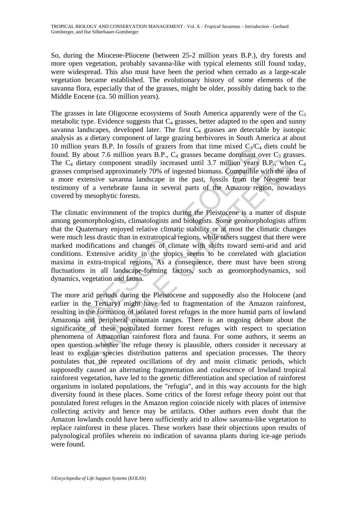So, during the Miocene-Pliocene (between 25-2 million years B.P.), dry forests and more open vegetation, probably savanna-like with typical elements still found today, were widespread. This also must have been the period when cerrado as a large-scale vegetation became established. The evolutionary history of some elements of the savanna flora, especially that of the grasses, might be older, possibly dating back to the Middle Eocene (ca. 50 million years).

The grasses in late Oligocene ecosystems of South America apparently were of the  $C_3$ metabolic type. Evidence suggests that  $C_4$  grasses, better adapted to the open and sunny savanna landscapes, developed later. The first  $C_4$  grasses are detectable by isotopic analysis as a dietary component of large grazing herbivores in South America at about 10 million years B.P. In fossils of grazers from that time mixed  $C_1/C_4$  diets could be found. By about 7.6 million years B.P.,  $C_4$  grasses became dominant over  $C_3$  grasses. The  $C_4$  dietary component steadily increased until 3.7 million years B.P., when  $C_4$ grasses comprised approximately 70% of ingested biomass. Compatible with the idea of a more extensive savanna landscape in the past, fossils from the Neogene bear testimony of a vertebrate fauna in several parts of the Amazon region, nowadays covered by mesophytic forests.

For. in tossiss or grazers inom in the linker linker when the sole-<br>By about 7.6 million years B.P., C<sub>4</sub> grasses became dominant of<br>dietary component steadily increased until 3.7 million years<br>comprised approximately 70% The climatic environment of the tropics during the Pleistocene is a matter of dispute among geomorphologists, climatologists and biologists. Some geomorphologists affirm that the Quaternary enjoyed relative climatic stability or at most the climatic changes were much less drastic than in extratropical regions, while others suggest that there were marked modifications and changes of climate with shifts toward semi-arid and arid conditions. Extensive aridity in the tropics seems to be correlated with glaciation maxima in extra-tropical regions. As a consequence, there must have been strong fluctuations in all landscape-forming factors, such as geomorphodynamics, soil dynamics, vegetation and fauna.

etary component steadily increased until 3.7 million years B.P., when<br>prised approximately 70% of ingested biomass. Compatible with the ide<br>tensive savanna landscape in the past, fossils from the Neogene<br>of a vertebrate fa The more arid periods during the Pleistocene and supposedly also the Holocene (and earlier in the Tertiary) might have led to fragmentation of the Amazon rainforest, resulting in the formation of isolated forest refuges in the more humid parts of lowland Amazonia and peripheral mountain ranges. There is an ongoing debate about the significance of these postulated former forest refuges with respect to speciation phenomena of Amazonian rainforest flora and fauna. For some authors, it seems an open question whether the refuge theory is plausible, others consider it necessary at least to explain species distribution patterns and speciation processes. The theory postulates that the repeated oscillations of dry and moist climatic periods, which supposedly caused an alternating fragmentation and coalescence of lowland tropical rainforest vegetation, have led to the genetic differentiation and speciation of rainforest organisms in isolated populations, the "refugia", and in this way accounts for the high diversity found in these places. Some critics of the forest refuge theory point out that postulated forest refuges in the Amazon region coincide nicely with places of intensive collecting activity and hence may be artifacts. Other authors even doubt that the Amazon lowlands could have been sufficiently arid to allow savanna-like vegetation to replace rainforest in these places. These workers base their objections upon results of palynological profiles wherein no indication of savanna plants during ice-age periods were found.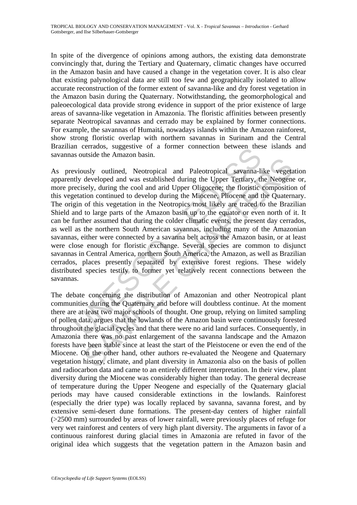In spite of the divergence of opinions among authors, the existing data demonstrate convincingly that, during the Tertiary and Quaternary, climatic changes have occurred in the Amazon basin and have caused a change in the vegetation cover. It is also clear that existing palynological data are still too few and geographically isolated to allow accurate reconstruction of the former extent of savanna-like and dry forest vegetation in the Amazon basin during the Quaternary. Notwithstanding, the geomorphological and paleoecological data provide strong evidence in support of the prior existence of large areas of savanna-like vegetation in Amazonia. The floristic affinities between presently separate Neotropical savannas and cerrado may be explained by former connections. For example, the savannas of Humaitá, nowadays islands within the Amazon rainforest, show strong floristic overlap with northern savannas in Surinam and the Central Brazilian cerrados, suggestive of a former connection between these islands and savannas outside the Amazon basin.

In terrados, suggestive or a former connection between these soutside the Amazon basin.<br>
Exotistic the Amazon basin.<br>
Existic excellent was established during the Upper Tertiary, the<br>
recisely, during the cool and arid Upp and Paleotropical and Paleotropical savanna-like vegetal<br>susly outlined. Neotropical and Paleotropical savanna-like vegeta<br>sely, during the cool and arid Upper Oligocene; the floristic compositio<br>tion continued to develop As previously outlined, Neotropical and Paleotropical savanna-like vegetation apparently developed and was established during the Upper Tertiary, the Neogene or, more precisely, during the cool and arid Upper Oligocene; the floristic composition of this vegetation continued to develop during the Miocene, Pliocene and the Quaternary. The origin of this vegetation in the Neotropics most likely are traced to the Brazilian Shield and to large parts of the Amazon basin up to the equator or even north of it. It can be further assumed that during the colder climatic events, the present day cerrados, as well as the northern South American savannas, including many of the Amazonian savannas, either were connected by a savanna belt across the Amazon basin, or at least were close enough for floristic exchange. Several species are common to disjunct savannas in Central America, northern South America, the Amazon, as well as Brazilian cerrados, places presently separated by extensive forest regions. These widely distributed species testify to former yet relatively recent connections between the savannas.

The debate concerning the distribution of Amazonian and other Neotropical plant communities during the Quaternary and before will doubtless continue. At the moment there are at least two major schools of thought. One group, relying on limited sampling of pollen data, argues that the lowlands of the Amazon basin were continuously forested throughout the glacial cycles and that there were no arid land surfaces. Consequently, in Amazonia there was no past enlargement of the savanna landscape and the Amazon forests have been stable since at least the start of the Pleistocene or even the end of the Miocene. On the other hand, other authors re-evaluated the Neogene and Quaternary vegetation history, climate, and plant diversity in Amazonia also on the basis of pollen and radiocarbon data and came to an entirely different interpretation. In their view, plant diversity during the Miocene was considerably higher than today. The general decrease of temperature during the Upper Neogene and especially of the Quaternary glacial periods may have caused considerable extinctions in the lowlands. Rainforest (especially the drier type) was locally replaced by savanna, savanna forest, and by extensive semi-desert dune formations. The present-day centers of higher rainfall (>2500 mm) surrounded by areas of lower rainfall, were previously places of refuge for very wet rainforest and centers of very high plant diversity. The arguments in favor of a continuous rainforest during glacial times in Amazonia are refuted in favor of the original idea which suggests that the vegetation pattern in the Amazon basin and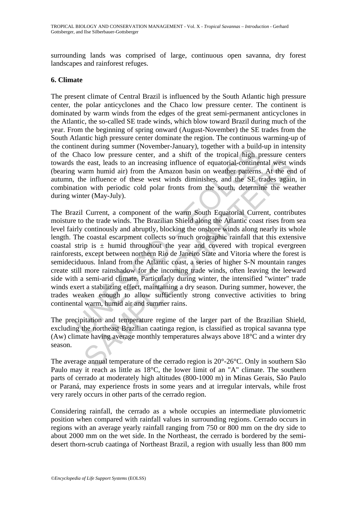surrounding lands was comprised of large, continuous open savanna, dry forest landscapes and rainforest refuges.

#### **6. Climate**

The present climate of Central Brazil is influenced by the South Atlantic high pressure center, the polar anticyclones and the Chaco low pressure center. The continent is dominated by warm winds from the edges of the great semi-permanent anticyclones in the Atlantic, the so-called SE trade winds, which blow toward Brazil during much of the year. From the beginning of spring onward (August-November) the SE trades from the South Atlantic high pressure center dominate the region. The continuous warming-up of the continent during summer (November-January), together with a build-up in intensity of the Chaco low pressure center, and a shift of the tropical high pressure centers towards the east, leads to an increasing influence of equatorial-continental west winds (bearing warm humid air) from the Amazon basin on weather patterns. At the end of autumn, the influence of these west winds diminishes, and the SE trades again, in combination with periodic cold polar fronts from the south, determine the weather during winter (May-July).

ment uning sunline (wovemet---and a shift of the tropical high p<br>Chaco low pressure center, and a shift of the tropical high p<br>the east, leads to an increasing influence of equatorial-continen<br>y warm humid air) from the Am is east, leads to an increasing influence of equatorial-continental west warm humid air) from the Amazon basin on weather patterns. At the energing influence of equatorial-continental west warm humid air) from the Amazon The Brazil Current, a component of the warm South Equatorial Current, contributes moisture to the trade winds. The Brazilian Shield along the Atlantic coast rises from sea level fairly continously and abruptly, blocking the onshore winds along nearly its whole length. The coastal escarpment collects so much orographic rainfall that this extensive coastal strip is  $\pm$  humid throughout the year and covered with tropical evergreen rainforests, except between northern Rio de Janeiro State and Vitoria where the forest is semideciduous. Inland from the Atlantic coast, a series of higher S-N mountain ranges create still more rainshadow for the incoming trade winds, often leaving the leeward side with a semi-arid climate. Particularly during winter, the intensified "winter" trade winds exert a stabilizing effect, maintaining a dry season. During summer, however, the trades weaken enough to allow sufficiently strong convective activities to bring continental warm, humid air and summer rains.

The precipitation and temperature regime of the larger part of the Brazilian Shield, excluding the northeast Brazilian caatinga region, is classified as tropical savanna type (Aw) climate having average monthly temperatures always above 18°C and a winter dry season.

The average annual temperature of the cerrado region is 20°-26°C. Only in southern São Paulo may it reach as little as 18°C, the lower limit of an "A" climate. The southern parts of cerrado at moderately high altitudes (800-1000 m) in Minas Gerais, São Paulo or Paraná, may experience frosts in some years and at irregular intervals, while frost very rarely occurs in other parts of the cerrado region.

Considering rainfall, the cerrado as a whole occupies an intermediate pluviometric position when compared with rainfall values in surrounding regions. Cerrado occurs in regions with an average yearly rainfall ranging from 750 or 800 mm on the dry side to about 2000 mm on the wet side. In the Northeast, the cerrado is bordered by the semidesert thorn-scrub caatinga of Northeast Brazil, a region with usually less than 800 mm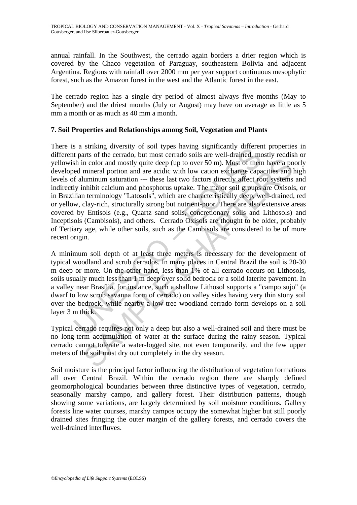annual rainfall. In the Southwest, the cerrado again borders a drier region which is covered by the Chaco vegetation of Paraguay, southeastern Bolivia and adjacent Argentina. Regions with rainfall over 2000 mm per year support continuous mesophytic forest, such as the Amazon forest in the west and the Atlantic forest in the east.

The cerrado region has a single dry period of almost always five months (May to September) and the driest months (July or August) may have on average as little as 5 mm a month or as much as 40 mm a month.

# **7. Soil Properties and Relationships among Soil, Vegetation and Plants**

s a surving unversity of sort types lawying signmatiantly united<br>that as a surving for start of the cerrado, but most cerrado soils are well-drained, me<br>the minical portion and are acidic with low cation exchange capa<br>f al n color and mostly quite deep (up to over 50 m). Most of them have a po<br>mineral portion and are acidic with low cation exchange capacities and<br>ultiminum saturation --- these last two factors direct for fore start<br>whibit ca There is a striking diversity of soil types having significantly different properties in different parts of the cerrado, but most cerrado soils are well-drained, mostly reddish or yellowish in color and mostly quite deep (up to over 50 m). Most of them have a poorly developed mineral portion and are acidic with low cation exchange capacities and high levels of aluminum saturation --- these last two factors directly affect root systems and indirectly inhibit calcium and phosphorus uptake. The major soil groups are Oxisols, or in Brazilian terminology "Latosols", which are characteristically deep, well-drained, red or yellow, clay-rich, structurally strong but nutrient-poor. There are also extensive areas covered by Entisols (e.g., Quartz sand soils, concretionary soils and Lithosols) and Inceptisols (Cambisols), and others. Cerrado Oxisols are thought to be older, probably of Tertiary age, while other soils, such as the Cambisols are considered to be of more recent origin.

A minimum soil depth of at least three meters is necessary for the development of typical woodland and scrub cerrados. In many places in Central Brazil the soil is 20-30 m deep or more. On the other hand, less than 1% of all cerrado occurs on Lithosols, soils usually much less than 1 m deep over solid bedrock or a solid laterite pavement. In a valley near Brasília, for instance, such a shallow Lithosol supports a "campo sujo" (a dwarf to low scrub savanna form of cerrado) on valley sides having very thin stony soil over the bedrock, while nearby a low-tree woodland cerrado form develops on a soil layer 3 m thick.

Typical cerrado requires not only a deep but also a well-drained soil and there must be no long-term accumulation of water at the surface during the rainy season. Typical cerrado cannot tolerate a water-logged site, not even temporarily, and the few upper meters of the soil must dry out completely in the dry season.

Soil moisture is the principal factor influencing the distribution of vegetation formations all over Central Brazil. Within the cerrado region there are sharply defined geomorphological boundaries between three distinctive types of vegetation, cerrado, seasonally marshy campo, and gallery forest. Their distribution patterns, though showing some variations, are largely determined by soil moisture conditions. Gallery forests line water courses, marshy campos occupy the somewhat higher but still poorly drained sites fringing the outer margin of the gallery forests, and cerrado covers the well-drained interfluves.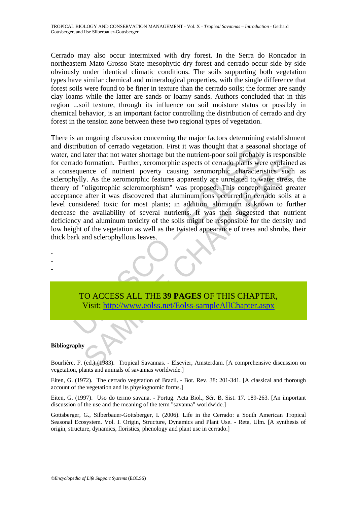Cerrado may also occur intermixed with dry forest. In the Serra do Roncador in northeastern Mato Grosso State mesophytic dry forest and cerrado occur side by side obviously under identical climatic conditions. The soils supporting both vegetation types have similar chemical and mineralogical properties, with the single difference that forest soils were found to be finer in texture than the cerrado soils; the former are sandy clay loams while the latter are sands or loamy sands. Authors concluded that in this region ...soil texture, through its influence on soil moisture status or possibly in chemical behavior, is an important factor controlling the distribution of cerrado and dry forest in the tension zone between these two regional types of vegetation.

Induction of certation verset with the unit of the two states and later that not vater shortage but the uniternt-poor soil probably<br>and later that not water shortage but the uniternt-poor soil probably<br>ado formation. Furth formation. Further, xeromorphic aspects of cerrado plants were explaine<br>ence of nutrient poverty causing xeromorphic characteristics such<br>y. As the xeromorphic features apparently are unrelated to water stress.<br>"oligotroph There is an ongoing discussion concerning the major factors determining establishment and distribution of cerrado vegetation. First it was thought that a seasonal shortage of water, and later that not water shortage but the nutrient-poor soil probably is responsible for cerrado formation. Further, xeromorphic aspects of cerrado plants were explained as a consequence of nutrient poverty causing xeromorphic characteristics such as sclerophylly. As the xeromorphic features apparently are unrelated to water stress, the theory of "oligotrophic scleromorphism" was proposed. This concept gained greater acceptance after it was discovered that aluminum ions occurred in cerrado soils at a level considered toxic for most plants; in addition, aluminum is known to further decrease the availability of several nutrients. It was then suggested that nutrient deficiency and aluminum toxicity of the soils might be responsible for the density and low height of the vegetation as well as the twisted appearance of trees and shrubs, their thick bark and sclerophyllous leaves.

TO ACCESS ALL THE **39 PAGES** OF THIS CHAPTER, Visit: http://www.eolss.net/Eolss-sampleAllChapter.aspx

#### **Bibliography**

- - -

Bourlière, F. (ed.) (1983). Tropical Savannas. - Elsevier, Amsterdam. [A comprehensive discussion on vegetation, plants and animals of savannas worldwide.]

Eiten, G. (1972). The cerrado vegetation of Brazil. - Bot. Rev. 38: 201-341. [A classical and thorough account of the vegetation and its physiognomic forms.]

Eiten, G. (1997). Uso do termo savana. - Portug. Acta Biol., Sér. B, Sist. 17. 189-263. [An important discussion of the use and the meaning of the term "savanna" worldwide.]

Gottsberger, G., Silberbauer-Gottsberger, I. (2006). Life in the Cerrado: a South American Tropical Seasonal Ecosystem. Vol. I. Origin, Structure, Dynamics and Plant Use. - Reta, Ulm. [A synthesis of origin, structure, dynamics, floristics, phenology and plant use in cerrado.]